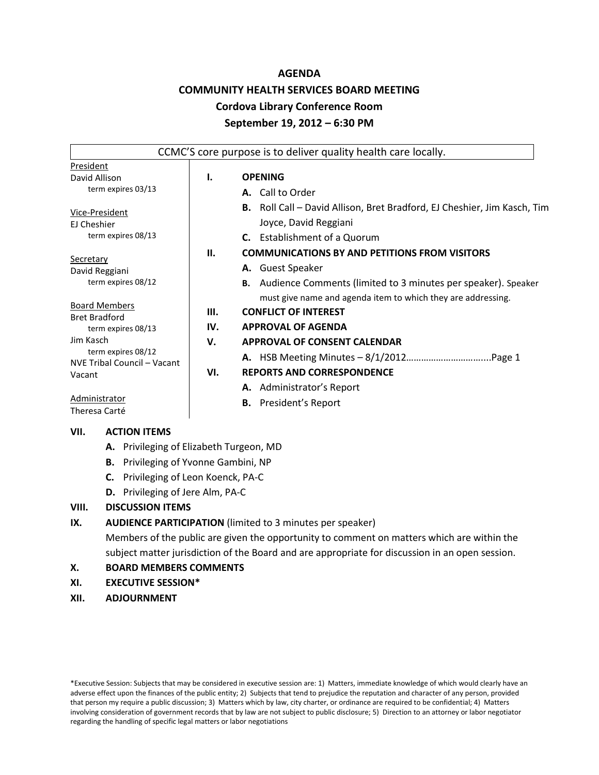## **AGENDA**

# **COMMUNITY HEALTH SERVICES BOARD MEETING**

# **Cordova Library Conference Room**

#### **September 19, 2012 – 6:30 PM**

|                                                                         |     | CCMC'S core purpose is to deliver quality health care locally.                                                                                                                                                      |
|-------------------------------------------------------------------------|-----|---------------------------------------------------------------------------------------------------------------------------------------------------------------------------------------------------------------------|
| President<br>David Allison<br>term expires 03/13                        | ı.  | <b>OPENING</b><br>A. Call to Order                                                                                                                                                                                  |
| Vice-President<br>EJ Cheshier<br>term expires 08/13                     |     | <b>B.</b> Roll Call – David Allison, Bret Bradford, EJ Cheshier, Jim Kasch, Tim<br>Joyce, David Reggiani<br><b>C.</b> Establishment of a Quorum                                                                     |
| Secretary<br>David Reggiani<br>term expires 08/12                       | Н.  | <b>COMMUNICATIONS BY AND PETITIONS FROM VISITORS</b><br>A. Guest Speaker<br><b>B.</b> Audience Comments (limited to 3 minutes per speaker). Speaker<br>must give name and agenda item to which they are addressing. |
| <b>Board Members</b><br><b>Bret Bradford</b>                            | Ш.  | <b>CONFLICT OF INTEREST</b>                                                                                                                                                                                         |
| term expires 08/13                                                      | IV. | <b>APPROVAL OF AGENDA</b>                                                                                                                                                                                           |
| Jim Kasch<br>term expires 08/12                                         | V.  | <b>APPROVAL OF CONSENT CALENDAR</b>                                                                                                                                                                                 |
| NVE Tribal Council - Vacant<br>Vacant<br>Administrator<br>Theresa Carté | VI. | <b>REPORTS AND CORRESPONDENCE</b>                                                                                                                                                                                   |
|                                                                         |     | A. Administrator's Report<br>President's Report<br>В.                                                                                                                                                               |

#### **VII. ACTION ITEMS**

- **A.** Privileging of Elizabeth Turgeon, MD
- **B.** Privileging of Yvonne Gambini, NP
- **C.** Privileging of Leon Koenck, PA-C
- **D.** Privileging of Jere Alm, PA-C

# **VIII. DISCUSSION ITEMS**

# **IX. AUDIENCE PARTICIPATION** (limited to 3 minutes per speaker)

Members of the public are given the opportunity to comment on matters which are within the subject matter jurisdiction of the Board and are appropriate for discussion in an open session.

# **X. BOARD MEMBERS COMMENTS**

- **XI. EXECUTIVE SESSION\***
- **XII. ADJOURNMENT**

\*Executive Session: Subjects that may be considered in executive session are: 1) Matters, immediate knowledge of which would clearly have an adverse effect upon the finances of the public entity; 2) Subjects that tend to prejudice the reputation and character of any person, provided that person my require a public discussion; 3) Matters which by law, city charter, or ordinance are required to be confidential; 4) Matters involving consideration of government records that by law are not subject to public disclosure; 5) Direction to an attorney or labor negotiator regarding the handling of specific legal matters or labor negotiations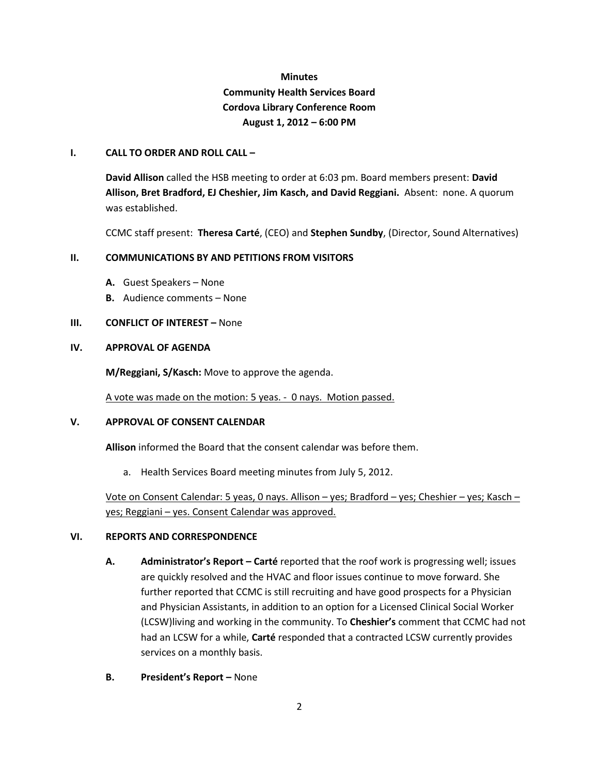# **Minutes Community Health Services Board Cordova Library Conference Room August 1, 2012 – 6:00 PM**

#### **I. CALL TO ORDER AND ROLL CALL –**

**David Allison** called the HSB meeting to order at 6:03 pm. Board members present: **David Allison, Bret Bradford, EJ Cheshier, Jim Kasch, and David Reggiani.** Absent: none. A quorum was established.

CCMC staff present: **Theresa Carté**, (CEO) and **Stephen Sundby**, (Director, Sound Alternatives)

## **II. COMMUNICATIONS BY AND PETITIONS FROM VISITORS**

- **A.** Guest Speakers None
- **B.** Audience comments None

## **III. CONFLICT OF INTEREST –** None

## **IV. APPROVAL OF AGENDA**

**M/Reggiani, S/Kasch:** Move to approve the agenda.

A vote was made on the motion: 5 yeas. - 0 nays. Motion passed.

#### **V. APPROVAL OF CONSENT CALENDAR**

**Allison** informed the Board that the consent calendar was before them.

a. Health Services Board meeting minutes from July 5, 2012.

 Vote on Consent Calendar: 5 yeas, 0 nays. Allison – yes; Bradford – yes; Cheshier – yes; Kasch – yes; Reggiani – yes. Consent Calendar was approved.

#### **VI. REPORTS AND CORRESPONDENCE**

- **A. Administrator's Report – Carté** reported that the roof work is progressing well; issues are quickly resolved and the HVAC and floor issues continue to move forward. She further reported that CCMC is still recruiting and have good prospects for a Physician and Physician Assistants, in addition to an option for a Licensed Clinical Social Worker (LCSW)living and working in the community. To **Cheshier's** comment that CCMC had not had an LCSW for a while, **Carté** responded that a contracted LCSW currently provides services on a monthly basis.
- **B. President's Report –** None